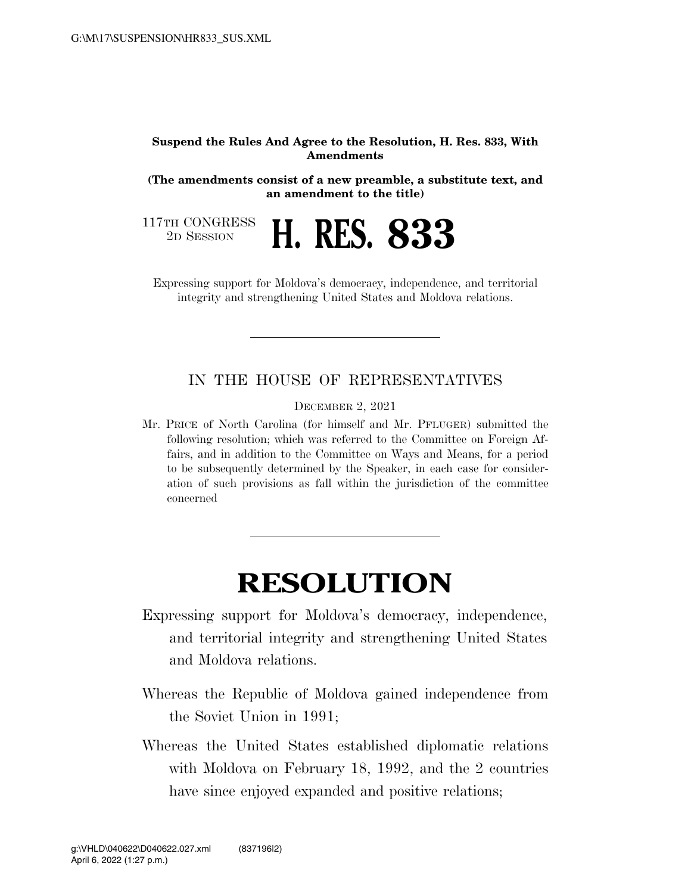## **Suspend the Rules And Agree to the Resolution, H. Res. 833, With Amendments**

**(The amendments consist of a new preamble, a substitute text, and an amendment to the title)** 

117TH CONGRESS<br>2D SESSION



Expressing support for Moldova's democracy, independence, and territorial integrity and strengthening United States and Moldova relations.

## IN THE HOUSE OF REPRESENTATIVES

DECEMBER 2, 2021

Mr. PRICE of North Carolina (for himself and Mr. PFLUGER) submitted the following resolution; which was referred to the Committee on Foreign Affairs, and in addition to the Committee on Ways and Means, for a period to be subsequently determined by the Speaker, in each case for consideration of such provisions as fall within the jurisdiction of the committee concerned

## **RESOLUTION**

- Expressing support for Moldova's democracy, independence, and territorial integrity and strengthening United States and Moldova relations.
- Whereas the Republic of Moldova gained independence from the Soviet Union in 1991;
- Whereas the United States established diplomatic relations with Moldova on February 18, 1992, and the 2 countries have since enjoyed expanded and positive relations;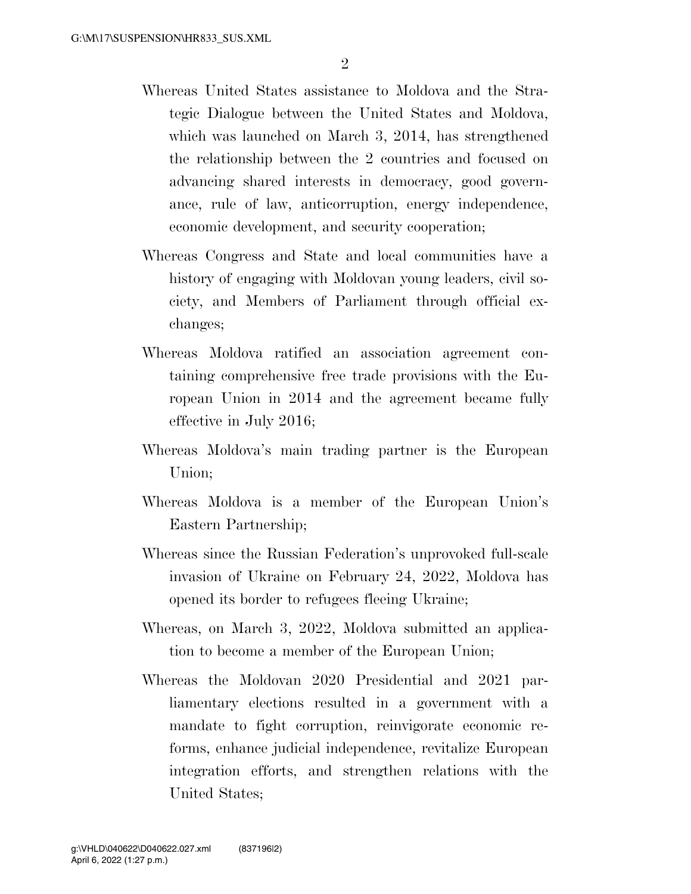- Whereas United States assistance to Moldova and the Strategic Dialogue between the United States and Moldova, which was launched on March 3, 2014, has strengthened the relationship between the 2 countries and focused on advancing shared interests in democracy, good governance, rule of law, anticorruption, energy independence, economic development, and security cooperation;
- Whereas Congress and State and local communities have a history of engaging with Moldovan young leaders, civil society, and Members of Parliament through official exchanges;
- Whereas Moldova ratified an association agreement containing comprehensive free trade provisions with the European Union in 2014 and the agreement became fully effective in July 2016;
- Whereas Moldova's main trading partner is the European Union;
- Whereas Moldova is a member of the European Union's Eastern Partnership;
- Whereas since the Russian Federation's unprovoked full-scale invasion of Ukraine on February 24, 2022, Moldova has opened its border to refugees fleeing Ukraine;
- Whereas, on March 3, 2022, Moldova submitted an application to become a member of the European Union;
- Whereas the Moldovan 2020 Presidential and 2021 parliamentary elections resulted in a government with a mandate to fight corruption, reinvigorate economic reforms, enhance judicial independence, revitalize European integration efforts, and strengthen relations with the United States;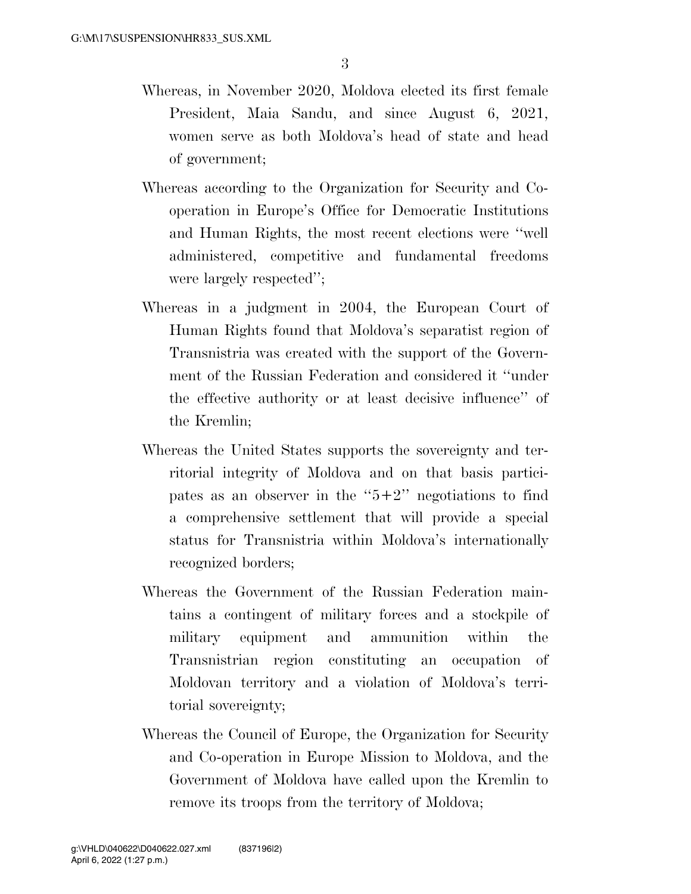- Whereas, in November 2020, Moldova elected its first female President, Maia Sandu, and since August 6, 2021, women serve as both Moldova's head of state and head of government;
- Whereas according to the Organization for Security and Cooperation in Europe's Office for Democratic Institutions and Human Rights, the most recent elections were ''well administered, competitive and fundamental freedoms were largely respected'';
- Whereas in a judgment in 2004, the European Court of Human Rights found that Moldova's separatist region of Transnistria was created with the support of the Government of the Russian Federation and considered it ''under the effective authority or at least decisive influence'' of the Kremlin;
- Whereas the United States supports the sovereignty and territorial integrity of Moldova and on that basis participates as an observer in the " $5+2$ " negotiations to find a comprehensive settlement that will provide a special status for Transnistria within Moldova's internationally recognized borders;
- Whereas the Government of the Russian Federation maintains a contingent of military forces and a stockpile of military equipment and ammunition within the Transnistrian region constituting an occupation of Moldovan territory and a violation of Moldova's territorial sovereignty;
- Whereas the Council of Europe, the Organization for Security and Co-operation in Europe Mission to Moldova, and the Government of Moldova have called upon the Kremlin to remove its troops from the territory of Moldova;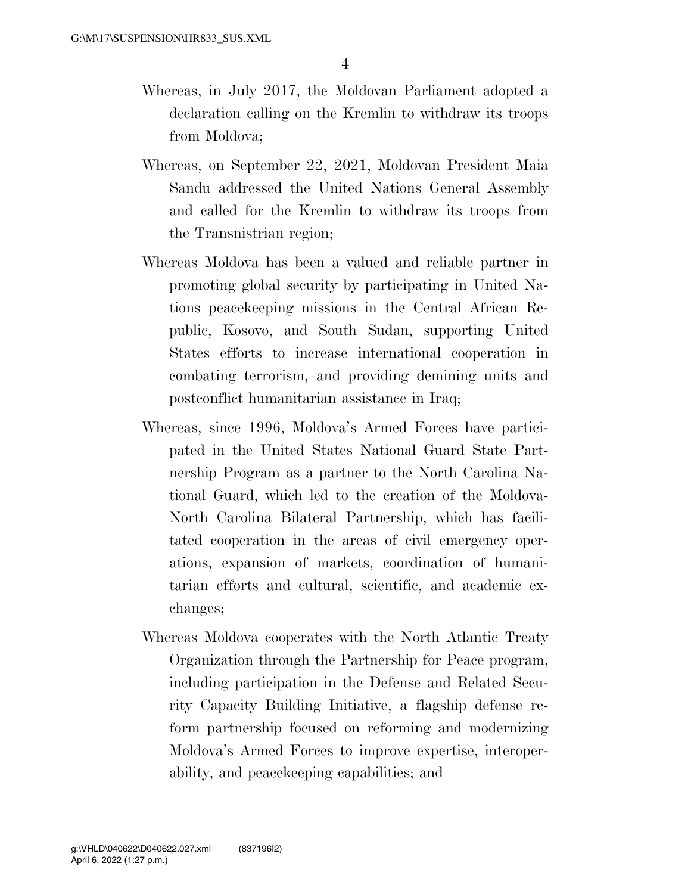- Whereas, in July 2017, the Moldovan Parliament adopted a declaration calling on the Kremlin to withdraw its troops from Moldova;
- Whereas, on September 22, 2021, Moldovan President Maia Sandu addressed the United Nations General Assembly and called for the Kremlin to withdraw its troops from the Transnistrian region;
- Whereas Moldova has been a valued and reliable partner in promoting global security by participating in United Nations peacekeeping missions in the Central African Republic, Kosovo, and South Sudan, supporting United States efforts to increase international cooperation in combating terrorism, and providing demining units and postconflict humanitarian assistance in Iraq;
- Whereas, since 1996, Moldova's Armed Forces have participated in the United States National Guard State Partnership Program as a partner to the North Carolina National Guard, which led to the creation of the Moldova-North Carolina Bilateral Partnership, which has facilitated cooperation in the areas of civil emergency operations, expansion of markets, coordination of humanitarian efforts and cultural, scientific, and academic exchanges;
- Whereas Moldova cooperates with the North Atlantic Treaty Organization through the Partnership for Peace program, including participation in the Defense and Related Security Capacity Building Initiative, a flagship defense reform partnership focused on reforming and modernizing Moldova's Armed Forces to improve expertise, interoperability, and peacekeeping capabilities; and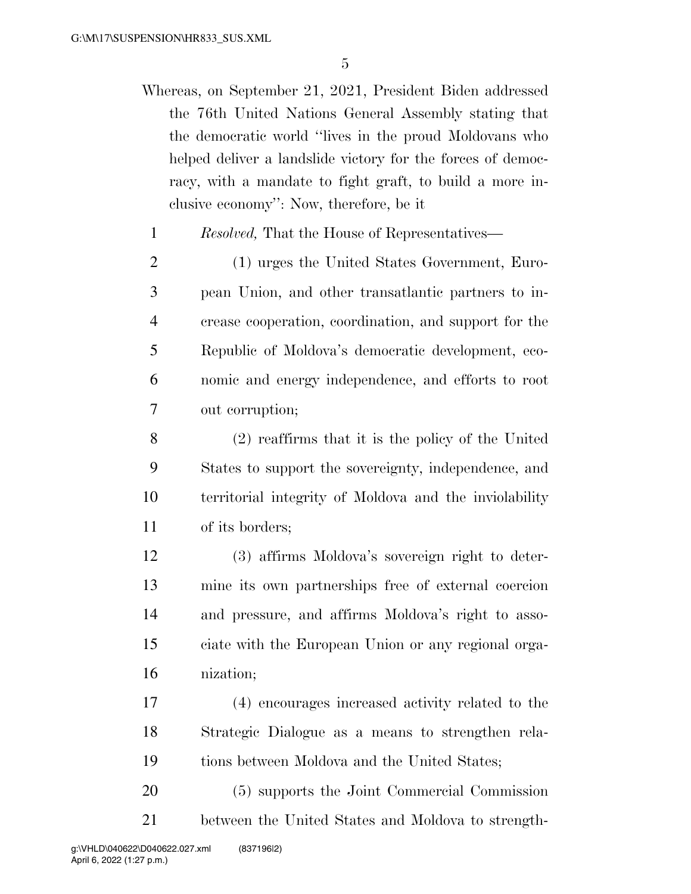- Whereas, on September 21, 2021, President Biden addressed the 76th United Nations General Assembly stating that the democratic world ''lives in the proud Moldovans who helped deliver a landslide victory for the forces of democracy, with a mandate to fight graft, to build a more inclusive economy'': Now, therefore, be it
	- *Resolved,* That the House of Representatives—
- (1) urges the United States Government, Euro- pean Union, and other transatlantic partners to in- crease cooperation, coordination, and support for the Republic of Moldova's democratic development, eco- nomic and energy independence, and efforts to root out corruption;
- (2) reaffirms that it is the policy of the United States to support the sovereignty, independence, and territorial integrity of Moldova and the inviolability of its borders;
- (3) affirms Moldova's sovereign right to deter- mine its own partnerships free of external coercion and pressure, and affirms Moldova's right to asso- ciate with the European Union or any regional orga-nization;
- (4) encourages increased activity related to the Strategic Dialogue as a means to strengthen rela-tions between Moldova and the United States;
- (5) supports the Joint Commercial Commission between the United States and Moldova to strength-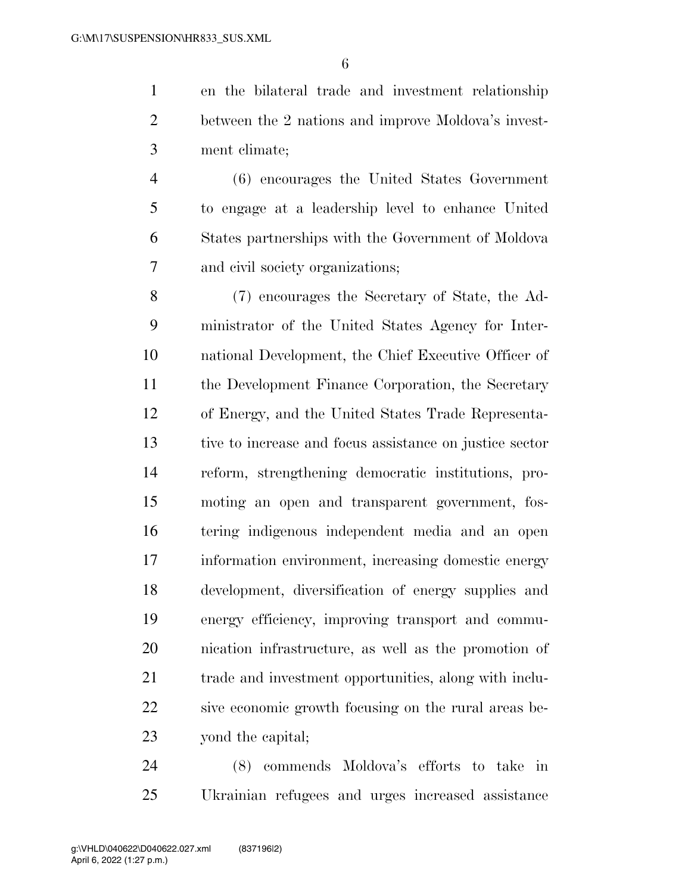en the bilateral trade and investment relationship between the 2 nations and improve Moldova's invest-ment climate;

 (6) encourages the United States Government to engage at a leadership level to enhance United States partnerships with the Government of Moldova and civil society organizations;

 (7) encourages the Secretary of State, the Ad- ministrator of the United States Agency for Inter- national Development, the Chief Executive Officer of the Development Finance Corporation, the Secretary of Energy, and the United States Trade Representa- tive to increase and focus assistance on justice sector reform, strengthening democratic institutions, pro- moting an open and transparent government, fos- tering indigenous independent media and an open information environment, increasing domestic energy development, diversification of energy supplies and energy efficiency, improving transport and commu- nication infrastructure, as well as the promotion of trade and investment opportunities, along with inclu- sive economic growth focusing on the rural areas be-yond the capital;

 (8) commends Moldova's efforts to take in Ukrainian refugees and urges increased assistance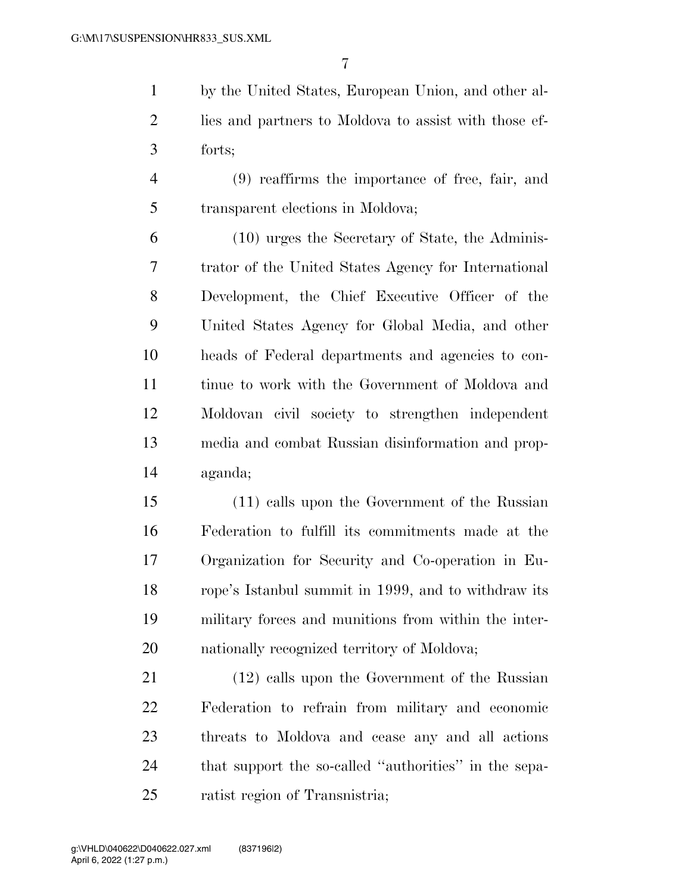by the United States, European Union, and other al- lies and partners to Moldova to assist with those ef-forts;

 (9) reaffirms the importance of free, fair, and transparent elections in Moldova;

 (10) urges the Secretary of State, the Adminis- trator of the United States Agency for International Development, the Chief Executive Officer of the United States Agency for Global Media, and other heads of Federal departments and agencies to con- tinue to work with the Government of Moldova and Moldovan civil society to strengthen independent media and combat Russian disinformation and prop-aganda;

 (11) calls upon the Government of the Russian Federation to fulfill its commitments made at the Organization for Security and Co-operation in Eu- rope's Istanbul summit in 1999, and to withdraw its military forces and munitions from within the inter-20 nationally recognized territory of Moldova;

 (12) calls upon the Government of the Russian Federation to refrain from military and economic threats to Moldova and cease any and all actions that support the so-called ''authorities'' in the sepa-ratist region of Transnistria;